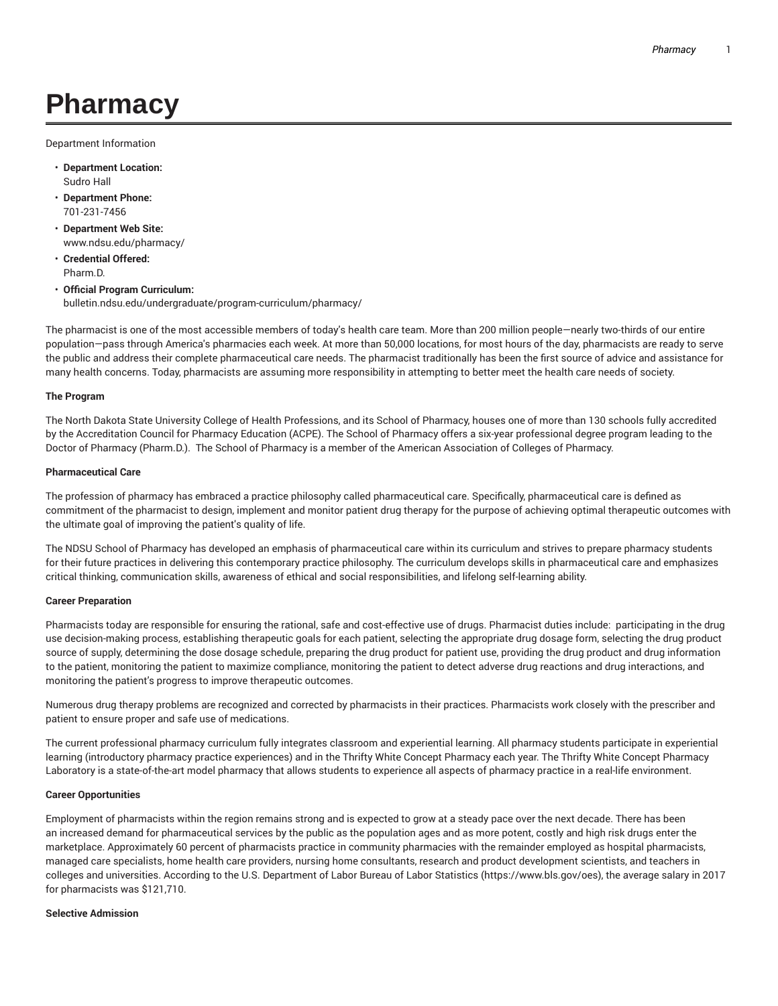# **Pharmacy**

Department Information

- **Department Location:** Sudro Hall
- **Department Phone:** 701-231-7456
- **Department Web Site:** www.ndsu.edu/pharmacy/
- **Credential Offered:** Pharm.D.
- **Official Program Curriculum:** bulletin.ndsu.edu/undergraduate/program-curriculum/pharmacy/

The pharmacist is one of the most accessible members of today's health care team. More than 200 million people—nearly two-thirds of our entire population—pass through America's pharmacies each week. At more than 50,000 locations, for most hours of the day, pharmacists are ready to serve the public and address their complete pharmaceutical care needs. The pharmacist traditionally has been the first source of advice and assistance for many health concerns. Today, pharmacists are assuming more responsibility in attempting to better meet the health care needs of society.

# **The Program**

The North Dakota State University College of Health Professions, and its School of Pharmacy, houses one of more than 130 schools fully accredited by the Accreditation Council for Pharmacy Education (ACPE). The School of Pharmacy offers a six-year professional degree program leading to the Doctor of Pharmacy (Pharm.D.). The School of Pharmacy is a member of the American Association of Colleges of Pharmacy.

## **Pharmaceutical Care**

The profession of pharmacy has embraced a practice philosophy called pharmaceutical care. Specifically, pharmaceutical care is defined as commitment of the pharmacist to design, implement and monitor patient drug therapy for the purpose of achieving optimal therapeutic outcomes with the ultimate goal of improving the patient's quality of life.

The NDSU School of Pharmacy has developed an emphasis of pharmaceutical care within its curriculum and strives to prepare pharmacy students for their future practices in delivering this contemporary practice philosophy. The curriculum develops skills in pharmaceutical care and emphasizes critical thinking, communication skills, awareness of ethical and social responsibilities, and lifelong self-learning ability.

## **Career Preparation**

Pharmacists today are responsible for ensuring the rational, safe and cost-effective use of drugs. Pharmacist duties include: participating in the drug use decision-making process, establishing therapeutic goals for each patient, selecting the appropriate drug dosage form, selecting the drug product source of supply, determining the dose dosage schedule, preparing the drug product for patient use, providing the drug product and drug information to the patient, monitoring the patient to maximize compliance, monitoring the patient to detect adverse drug reactions and drug interactions, and monitoring the patient's progress to improve therapeutic outcomes.

Numerous drug therapy problems are recognized and corrected by pharmacists in their practices. Pharmacists work closely with the prescriber and patient to ensure proper and safe use of medications.

The current professional pharmacy curriculum fully integrates classroom and experiential learning. All pharmacy students participate in experiential learning (introductory pharmacy practice experiences) and in the Thrifty White Concept Pharmacy each year. The Thrifty White Concept Pharmacy Laboratory is a state-of-the-art model pharmacy that allows students to experience all aspects of pharmacy practice in a real-life environment.

## **Career Opportunities**

Employment of pharmacists within the region remains strong and is expected to grow at a steady pace over the next decade. There has been an increased demand for pharmaceutical services by the public as the population ages and as more potent, costly and high risk drugs enter the marketplace. Approximately 60 percent of pharmacists practice in community pharmacies with the remainder employed as hospital pharmacists, managed care specialists, home health care providers, nursing home consultants, research and product development scientists, and teachers in colleges and universities. According to the U.S. Department of Labor Bureau of Labor Statistics (https://www.bls.gov/oes), the average salary in 2017 for pharmacists was \$121,710.

## **Selective Admission**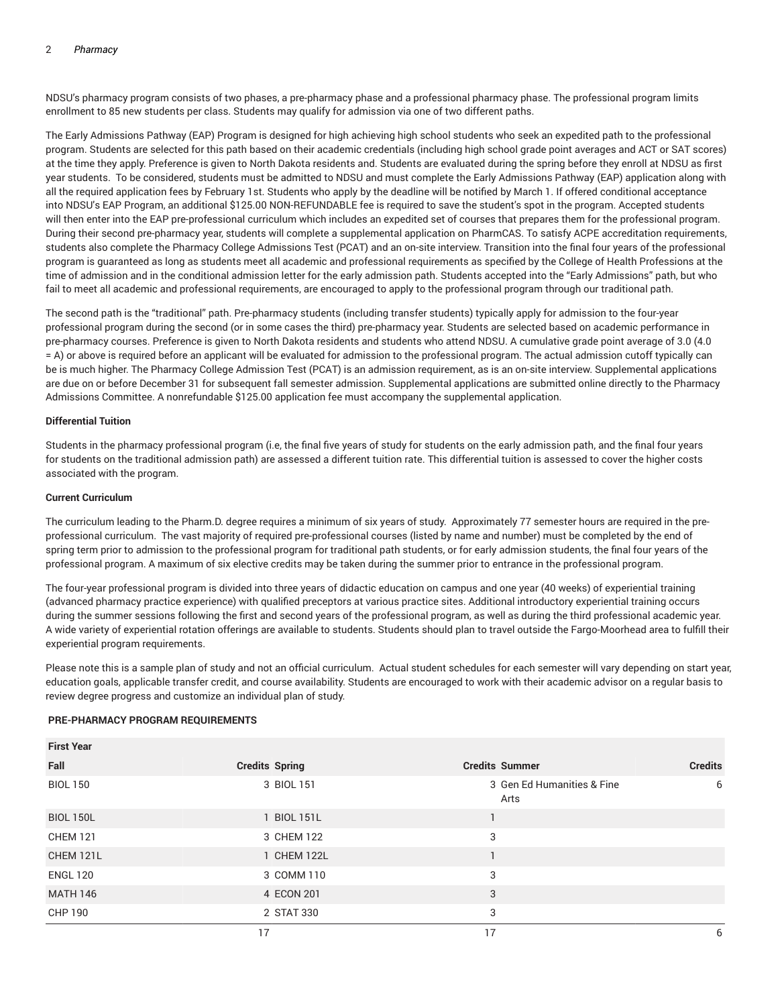NDSU's pharmacy program consists of two phases, a pre-pharmacy phase and a professional pharmacy phase. The professional program limits enrollment to 85 new students per class. Students may qualify for admission via one of two different paths.

The Early Admissions Pathway (EAP) Program is designed for high achieving high school students who seek an expedited path to the professional program. Students are selected for this path based on their academic credentials (including high school grade point averages and ACT or SAT scores) at the time they apply. Preference is given to North Dakota residents and. Students are evaluated during the spring before they enroll at NDSU as first year students. To be considered, students must be admitted to NDSU and must complete the Early Admissions Pathway (EAP) application along with all the required application fees by February 1st. Students who apply by the deadline will be notified by March 1. If offered conditional acceptance into NDSU's EAP Program, an additional \$125.00 NON-REFUNDABLE fee is required to save the student's spot in the program. Accepted students will then enter into the EAP pre-professional curriculum which includes an expedited set of courses that prepares them for the professional program. During their second pre-pharmacy year, students will complete a supplemental application on PharmCAS. To satisfy ACPE accreditation requirements, students also complete the Pharmacy College Admissions Test (PCAT) and an on-site interview. Transition into the final four years of the professional program is guaranteed as long as students meet all academic and professional requirements as specified by the College of Health Professions at the time of admission and in the conditional admission letter for the early admission path. Students accepted into the "Early Admissions" path, but who fail to meet all academic and professional requirements, are encouraged to apply to the professional program through our traditional path.

The second path is the "traditional" path. Pre-pharmacy students (including transfer students) typically apply for admission to the four-year professional program during the second (or in some cases the third) pre-pharmacy year. Students are selected based on academic performance in pre-pharmacy courses. Preference is given to North Dakota residents and students who attend NDSU. A cumulative grade point average of 3.0 (4.0 = A) or above is required before an applicant will be evaluated for admission to the professional program. The actual admission cutoff typically can be is much higher. The Pharmacy College Admission Test (PCAT) is an admission requirement, as is an on-site interview. Supplemental applications are due on or before December 31 for subsequent fall semester admission. Supplemental applications are submitted online directly to the Pharmacy Admissions Committee. A nonrefundable \$125.00 application fee must accompany the supplemental application.

# **Differential Tuition**

Students in the pharmacy professional program (i.e, the final five years of study for students on the early admission path, and the final four years for students on the traditional admission path) are assessed a different tuition rate. This differential tuition is assessed to cover the higher costs associated with the program.

## **Current Curriculum**

The curriculum leading to the Pharm.D. degree requires a minimum of six years of study. Approximately 77 semester hours are required in the preprofessional curriculum. The vast majority of required pre-professional courses (listed by name and number) must be completed by the end of spring term prior to admission to the professional program for traditional path students, or for early admission students, the final four years of the professional program. A maximum of six elective credits may be taken during the summer prior to entrance in the professional program.

The four-year professional program is divided into three years of didactic education on campus and one year (40 weeks) of experiential training (advanced pharmacy practice experience) with qualified preceptors at various practice sites. Additional introductory experiential training occurs during the summer sessions following the first and second years of the professional program, as well as during the third professional academic year. A wide variety of experiential rotation offerings are available to students. Students should plan to travel outside the Fargo-Moorhead area to fulfill their experiential program requirements.

Please note this is a sample plan of study and not an official curriculum. Actual student schedules for each semester will vary depending on start year, education goals, applicable transfer credit, and course availability. Students are encouraged to work with their academic advisor on a regular basis to review degree progress and customize an individual plan of study.

## **PRE-PHARMACY PROGRAM REQUIREMENTS**

| <b>First Year</b> |                       |                                    |                |
|-------------------|-----------------------|------------------------------------|----------------|
| Fall              | <b>Credits Spring</b> | <b>Credits Summer</b>              | <b>Credits</b> |
| <b>BIOL 150</b>   | 3 BIOL 151            | 3 Gen Ed Humanities & Fine<br>Arts | 6              |
| <b>BIOL 150L</b>  | 1 BIOL 151L           |                                    |                |
| <b>CHEM 121</b>   | 3 CHEM 122            | 3                                  |                |
| CHEM 121L         | 1 CHEM 122L           |                                    |                |
| <b>ENGL 120</b>   | 3 COMM 110            | 3                                  |                |
| <b>MATH 146</b>   | 4 ECON 201            | 3                                  |                |
| CHP 190           | 2 STAT 330            | 3                                  |                |
|                   | 17                    | 17                                 | 6              |